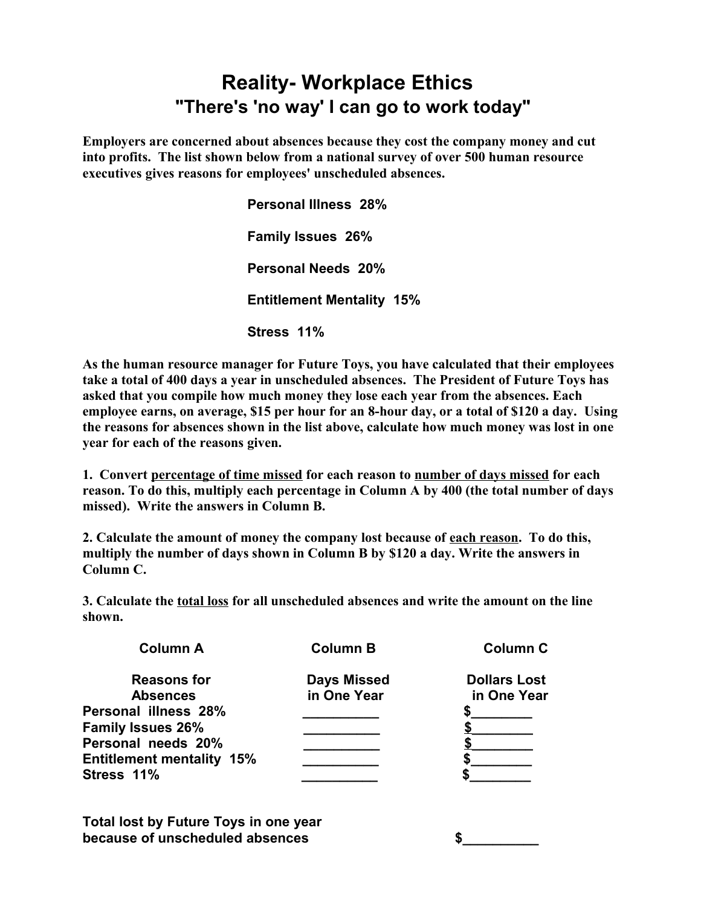## **Reality- Workplace Ethics "There's 'no way' I can go to work today"**

**Employers are concerned about absences because they cost the company money and cut into profits. The list shown below from a national survey of over 500 human resource executives gives reasons for employees' unscheduled absences.**

> **Personal Illness 28% Family Issues 26% Personal Needs 20% Entitlement Mentality 15% Stress 11%**

**As the human resource manager for Future Toys, you have calculated that their employees take a total of 400 days a year in unscheduled absences. The President of Future Toys has asked that you compile how much money they lose each year from the absences. Each employee earns, on average, \$15 per hour for an 8-hour day, or a total of \$120 a day. Using the reasons for absences shown in the list above, calculate how much money was lost in one year for each of the reasons given.**

**1. Convert percentage of time missed for each reason to number of days missed for each reason. To do this, multiply each percentage in Column A by 400 (the total number of days missed). Write the answers in Column B.**

**2. Calculate the amount of money the company lost because of each reason. To do this, multiply the number of days shown in Column B by \$120 a day. Write the answers in Column C.**

**3. Calculate the total loss for all unscheduled absences and write the amount on the line shown.**

| <b>Column A</b>                  | <b>Column B</b>    | <b>Column C</b>     |  |
|----------------------------------|--------------------|---------------------|--|
| <b>Reasons for</b>               | <b>Days Missed</b> | <b>Dollars Lost</b> |  |
| <b>Absences</b>                  | in One Year        | in One Year         |  |
| Personal illness 28%             |                    |                     |  |
| <b>Family Issues 26%</b>         |                    |                     |  |
| Personal needs 20%               |                    |                     |  |
| <b>Entitlement mentality 15%</b> |                    |                     |  |
| Stress 11%                       |                    |                     |  |

**Total lost by Future Toys in one year because of unscheduled absences \$\_\_\_\_\_\_\_\_\_\_**